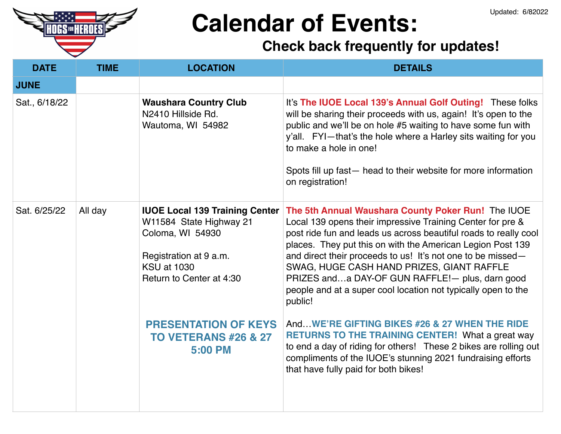

# **Calendar of Events:**

### **Check back frequently for updates!**

| <b>DATE</b>   | <b>TIME</b> | <b>LOCATION</b>                                                                                                                                                  | <b>DETAILS</b>                                                                                                                                                                                                                                                                                                                                                                                                                                                                                |
|---------------|-------------|------------------------------------------------------------------------------------------------------------------------------------------------------------------|-----------------------------------------------------------------------------------------------------------------------------------------------------------------------------------------------------------------------------------------------------------------------------------------------------------------------------------------------------------------------------------------------------------------------------------------------------------------------------------------------|
| <b>JUNE</b>   |             |                                                                                                                                                                  |                                                                                                                                                                                                                                                                                                                                                                                                                                                                                               |
| Sat., 6/18/22 |             | <b>Waushara Country Club</b><br>N2410 Hillside Rd.<br>Wautoma, WI 54982                                                                                          | It's The IUOE Local 139's Annual Golf Outing! These folks<br>will be sharing their proceeds with us, again! It's open to the<br>public and we'll be on hole #5 waiting to have some fun with<br>y'all. FYI-that's the hole where a Harley sits waiting for you<br>to make a hole in one!<br>Spots fill up fast— head to their website for more information<br>on registration!                                                                                                                |
| Sat. 6/25/22  | All day     | <b>IUOE Local 139 Training Center</b><br>W11584 State Highway 21<br>Coloma, WI 54930<br>Registration at 9 a.m.<br><b>KSU at 1030</b><br>Return to Center at 4:30 | The 5th Annual Waushara County Poker Run! The IUOE<br>Local 139 opens their impressive Training Center for pre &<br>post ride fun and leads us across beautiful roads to really cool<br>places. They put this on with the American Legion Post 139<br>and direct their proceeds to us! It's not one to be missed-<br>SWAG, HUGE CASH HAND PRIZES, GIANT RAFFLE<br>PRIZES anda DAY-OF GUN RAFFLE!- plus, darn good<br>people and at a super cool location not typically open to the<br>public! |
|               |             | <b>PRESENTATION OF KEYS</b><br><b>TO VETERANS #26 &amp; 27</b><br><b>5:00 PM</b>                                                                                 | AndWE'RE GIFTING BIKES #26 & 27 WHEN THE RIDE<br><b>RETURNS TO THE TRAINING CENTER!</b> What a great way<br>to end a day of riding for others! These 2 bikes are rolling out<br>compliments of the IUOE's stunning 2021 fundraising efforts<br>that have fully paid for both bikes!                                                                                                                                                                                                           |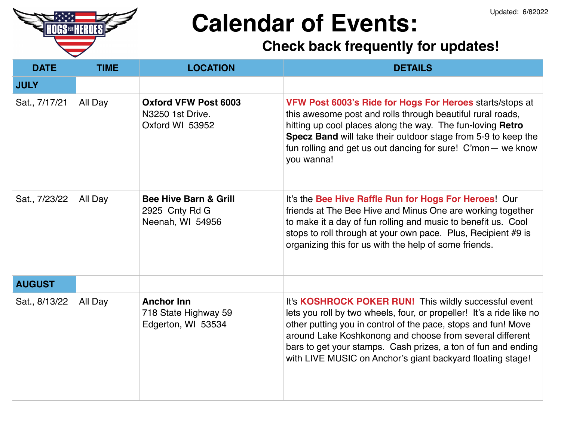

# **Calendar of Events:**

### **Check back frequently for updates!**

| <b>DATE</b>   | <b>TIME</b> | <b>LOCATION</b>                                                        | <b>DETAILS</b>                                                                                                                                                                                                                                                                                                                                                                            |
|---------------|-------------|------------------------------------------------------------------------|-------------------------------------------------------------------------------------------------------------------------------------------------------------------------------------------------------------------------------------------------------------------------------------------------------------------------------------------------------------------------------------------|
| <b>JULY</b>   |             |                                                                        |                                                                                                                                                                                                                                                                                                                                                                                           |
| Sat., 7/17/21 | All Day     | <b>Oxford VFW Post 6003</b><br>N3250 1st Drive.<br>Oxford WI 53952     | VFW Post 6003's Ride for Hogs For Heroes starts/stops at<br>this awesome post and rolls through beautiful rural roads,<br>hitting up cool places along the way. The fun-loving Retro<br>Specz Band will take their outdoor stage from 5-9 to keep the<br>fun rolling and get us out dancing for sure! C'mon- we know<br>you wanna!                                                        |
| Sat., 7/23/22 | All Day     | <b>Bee Hive Barn &amp; Grill</b><br>2925 Cnty Rd G<br>Neenah, WI 54956 | It's the Bee Hive Raffle Run for Hogs For Heroes! Our<br>friends at The Bee Hive and Minus One are working together<br>to make it a day of fun rolling and music to benefit us. Cool<br>stops to roll through at your own pace. Plus, Recipient #9 is<br>organizing this for us with the help of some friends.                                                                            |
| <b>AUGUST</b> |             |                                                                        |                                                                                                                                                                                                                                                                                                                                                                                           |
| Sat., 8/13/22 | All Day     | <b>Anchor Inn</b><br>718 State Highway 59<br>Edgerton, WI 53534        | It's KOSHROCK POKER RUN! This wildly successful event<br>lets you roll by two wheels, four, or propeller! It's a ride like no<br>other putting you in control of the pace, stops and fun! Move<br>around Lake Koshkonong and choose from several different<br>bars to get your stamps. Cash prizes, a ton of fun and ending<br>with LIVE MUSIC on Anchor's giant backyard floating stage! |